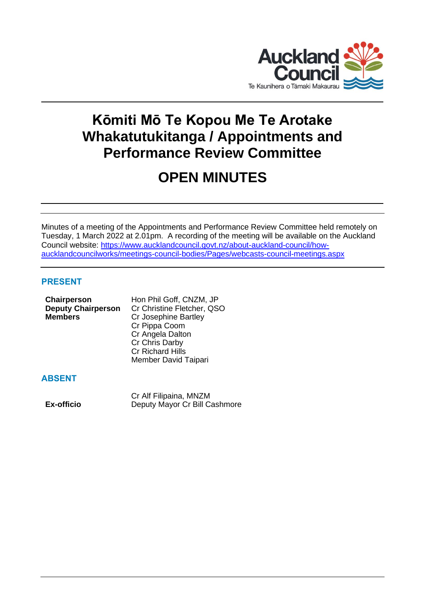

# **Kōmiti Mō Te Kopou Me Te Arotake Whakatutukitanga / Appointments and Performance Review Committee**

# **OPEN MINUTES**

Minutes of a meeting of the Appointments and Performance Review Committee held remotely on Tuesday, 1 March 2022 at 2.01pm. A recording of the meeting will be available on the Auckland Council website: [https://www.aucklandcouncil.govt.nz/about-auckland-council/how](https://www.aucklandcouncil.govt.nz/about-auckland-council/how-aucklandcouncilworks/meetings-council-bodies/Pages/webcasts-council-meetings.aspx)[aucklandcouncilworks/meetings-council-bodies/Pages/webcasts-council-meetings.aspx](https://www.aucklandcouncil.govt.nz/about-auckland-council/how-aucklandcouncilworks/meetings-council-bodies/Pages/webcasts-council-meetings.aspx)

## **PRESENT**

| Chairperson               | Hon Phil Goff, CNZM, JP    |  |
|---------------------------|----------------------------|--|
| <b>Deputy Chairperson</b> | Cr Christine Fletcher, QSO |  |
| <b>Members</b>            | Cr Josephine Bartley       |  |
|                           | Cr Pippa Coom              |  |
|                           | Cr Angela Dalton           |  |
|                           | Cr Chris Darby             |  |
|                           | <b>Cr Richard Hills</b>    |  |
|                           | Member David Taipari       |  |
|                           |                            |  |
|                           |                            |  |

# **ABSENT**

Cr Alf Filipaina, MNZM **Ex-officio** Deputy Mayor Cr Bill Cashmore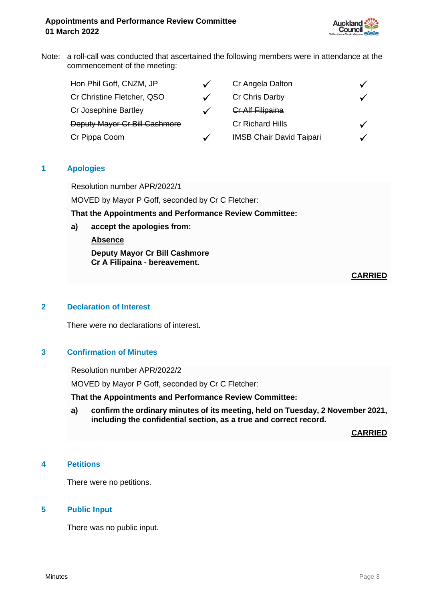

Note: a roll-call was conducted that ascertained the following members were in attendance at the commencement of the meeting:

| Hon Phil Goff, CNZM, JP       |              | Cr Angela Dalton                |  |
|-------------------------------|--------------|---------------------------------|--|
| Cr Christine Fletcher, QSO    |              | Cr Chris Darby                  |  |
| Cr Josephine Bartley          |              | <b>Cr Alf Filipaina</b>         |  |
| Deputy Mayor Cr Bill Cashmore |              | <b>Cr Richard Hills</b>         |  |
| Cr Pippa Coom                 | $\checkmark$ | <b>IMSB Chair David Taipari</b> |  |

## **1 Apologies**

Resolution number APR/2022/1

MOVED by Mayor P Goff, seconded by Cr C Fletcher:

**That the Appointments and Performance Review Committee:**

**a) accept the apologies from:**

**Absence**

**Deputy Mayor Cr Bill Cashmore Cr A Filipaina - bereavement.** 

**CARRIED**

#### **2 Declaration of Interest**

There were no declarations of interest.

## **3 Confirmation of Minutes**

Resolution number APR/2022/2

MOVED by Mayor P Goff, seconded by Cr C Fletcher:

**That the Appointments and Performance Review Committee:**

**a) confirm the ordinary minutes of its meeting, held on Tuesday, 2 November 2021, including the confidential section, as a true and correct record.**

**CARRIED**

## **4 Petitions**

There were no petitions.

#### **5 Public Input**

There was no public input.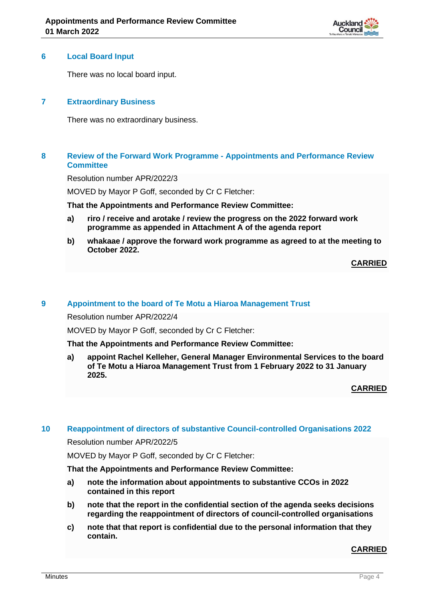

#### **6 Local Board Input**

There was no local board input.

## **7 Extraordinary Business**

There was no extraordinary business.

## **8 Review of the Forward Work Programme - Appointments and Performance Review Committee**

Resolution number APR/2022/3

MOVED by Mayor P Goff, seconded by Cr C Fletcher:

**That the Appointments and Performance Review Committee:**

- **a) riro / receive and arotake / review the progress on the 2022 forward work programme as appended in Attachment A of the agenda report**
- **b) whakaae / approve the forward work programme as agreed to at the meeting to October 2022.**

**CARRIED**

#### **9 Appointment to the board of Te Motu a Hiaroa Management Trust**

Resolution number APR/2022/4

MOVED by Mayor P Goff, seconded by Cr C Fletcher:

**That the Appointments and Performance Review Committee:**

**a) appoint Rachel Kelleher, General Manager Environmental Services to the board of Te Motu a Hiaroa Management Trust from 1 February 2022 to 31 January 2025.**

**CARRIED**

#### **10 Reappointment of directors of substantive Council-controlled Organisations 2022**

Resolution number APR/2022/5

MOVED by Mayor P Goff, seconded by Cr C Fletcher:

#### **That the Appointments and Performance Review Committee:**

- **a) note the information about appointments to substantive CCOs in 2022 contained in this report**
- **b) note that the report in the confidential section of the agenda seeks decisions regarding the reappointment of directors of council-controlled organisations**
- **c) note that that report is confidential due to the personal information that they contain.**

#### **CARRIED**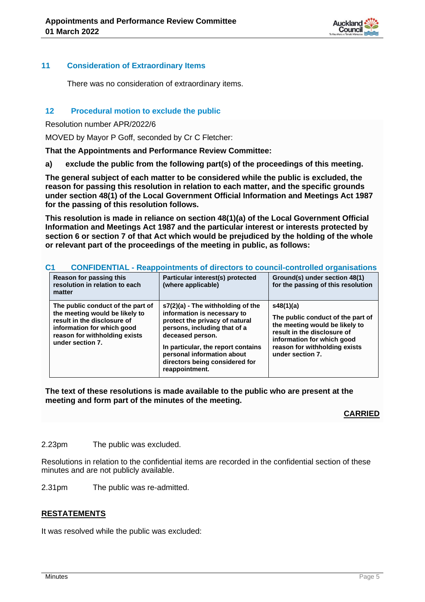

#### **11 Consideration of Extraordinary Items**

There was no consideration of extraordinary items.

#### **12 Procedural motion to exclude the public**

Resolution number APR/2022/6

MOVED by Mayor P Goff, seconded by Cr C Fletcher:

**That the Appointments and Performance Review Committee:**

**a) exclude the public from the following part(s) of the proceedings of this meeting.**

**The general subject of each matter to be considered while the public is excluded, the reason for passing this resolution in relation to each matter, and the specific grounds under section 48(1) of the Local Government Official Information and Meetings Act 1987 for the passing of this resolution follows.**

**This resolution is made in reliance on section 48(1)(a) of the Local Government Official Information and Meetings Act 1987 and the particular interest or interests protected by section 6 or section 7 of that Act which would be prejudiced by the holding of the whole or relevant part of the proceedings of the meeting in public, as follows:**

|  | C1<br>CONFIDENTIAL - Reappointments of directors to council-controlled organisations                                                                                                  |                                                                                                                                                                                                                                                                                |                                                                                                                                                                                                    |  |  |  |  |  |
|--|---------------------------------------------------------------------------------------------------------------------------------------------------------------------------------------|--------------------------------------------------------------------------------------------------------------------------------------------------------------------------------------------------------------------------------------------------------------------------------|----------------------------------------------------------------------------------------------------------------------------------------------------------------------------------------------------|--|--|--|--|--|
|  | Reason for passing this<br>resolution in relation to each<br>matter                                                                                                                   | Particular interest(s) protected<br>(where applicable)                                                                                                                                                                                                                         | Ground(s) under section 48(1)<br>for the passing of this resolution                                                                                                                                |  |  |  |  |  |
|  | The public conduct of the part of<br>the meeting would be likely to<br>result in the disclosure of<br>information for which good<br>reason for withholding exists<br>under section 7. | s7(2)(a) - The withholding of the<br>information is necessary to<br>protect the privacy of natural<br>persons, including that of a<br>deceased person.<br>In particular, the report contains<br>personal information about<br>directors being considered for<br>reappointment. | s48(1)(a)<br>The public conduct of the part of<br>the meeting would be likely to<br>result in the disclosure of<br>information for which good<br>reason for withholding exists<br>under section 7. |  |  |  |  |  |

## **C1 CONFIDENTIAL - Reappointments of directors to council-controlled organisations**

**The text of these resolutions is made available to the public who are present at the meeting and form part of the minutes of the meeting.**

**CARRIED**

2.23pm The public was excluded.

Resolutions in relation to the confidential items are recorded in the confidential section of these minutes and are not publicly available.

2.31pm The public was re-admitted.

## **RESTATEMENTS**

It was resolved while the public was excluded: